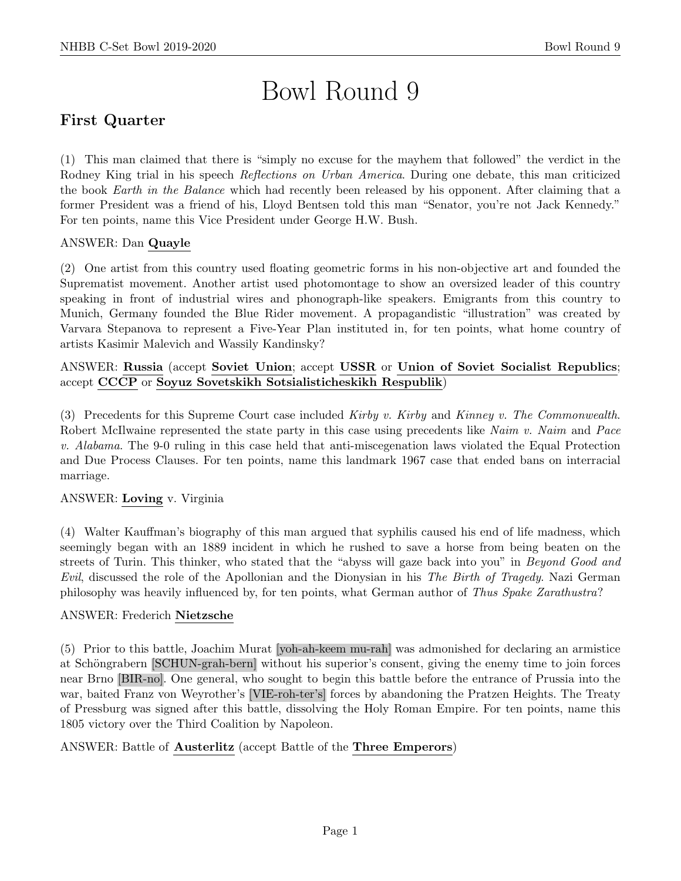# Bowl Round 9

# First Quarter

(1) This man claimed that there is "simply no excuse for the mayhem that followed" the verdict in the Rodney King trial in his speech Reflections on Urban America. During one debate, this man criticized the book Earth in the Balance which had recently been released by his opponent. After claiming that a former President was a friend of his, Lloyd Bentsen told this man "Senator, you're not Jack Kennedy." For ten points, name this Vice President under George H.W. Bush.

# ANSWER: Dan Quayle

(2) One artist from this country used floating geometric forms in his non-objective art and founded the Suprematist movement. Another artist used photomontage to show an oversized leader of this country speaking in front of industrial wires and phonograph-like speakers. Emigrants from this country to Munich, Germany founded the Blue Rider movement. A propagandistic "illustration" was created by Varvara Stepanova to represent a Five-Year Plan instituted in, for ten points, what home country of artists Kasimir Malevich and Wassily Kandinsky?

# ANSWER: Russia (accept Soviet Union; accept USSR or Union of Soviet Socialist Republics; accept CCCP or Soyuz Sovetskikh Sotsialisticheskikh Respublik)

(3) Precedents for this Supreme Court case included Kirby v. Kirby and Kinney v. The Commonwealth. Robert McIlwaine represented the state party in this case using precedents like Naim v. Naim and Pace v. Alabama. The 9-0 ruling in this case held that anti-miscegenation laws violated the Equal Protection and Due Process Clauses. For ten points, name this landmark 1967 case that ended bans on interracial marriage.

# ANSWER: Loving v. Virginia

(4) Walter Kauffman's biography of this man argued that syphilis caused his end of life madness, which seemingly began with an 1889 incident in which he rushed to save a horse from being beaten on the streets of Turin. This thinker, who stated that the "abyss will gaze back into you" in Beyond Good and Evil, discussed the role of the Apollonian and the Dionysian in his The Birth of Tragedy. Nazi German philosophy was heavily influenced by, for ten points, what German author of Thus Spake Zarathustra?

# ANSWER: Frederich Nietzsche

(5) Prior to this battle, Joachim Murat [yoh-ah-keem mu-rah] was admonished for declaring an armistice at Schöngrabern [SCHUN-grah-bern] without his superior's consent, giving the enemy time to join forces near Brno [BIR-no]. One general, who sought to begin this battle before the entrance of Prussia into the war, baited Franz von Weyrother's [VIE-roh-ter's] forces by abandoning the Pratzen Heights. The Treaty of Pressburg was signed after this battle, dissolving the Holy Roman Empire. For ten points, name this 1805 victory over the Third Coalition by Napoleon.

#### ANSWER: Battle of Austerlitz (accept Battle of the Three Emperors)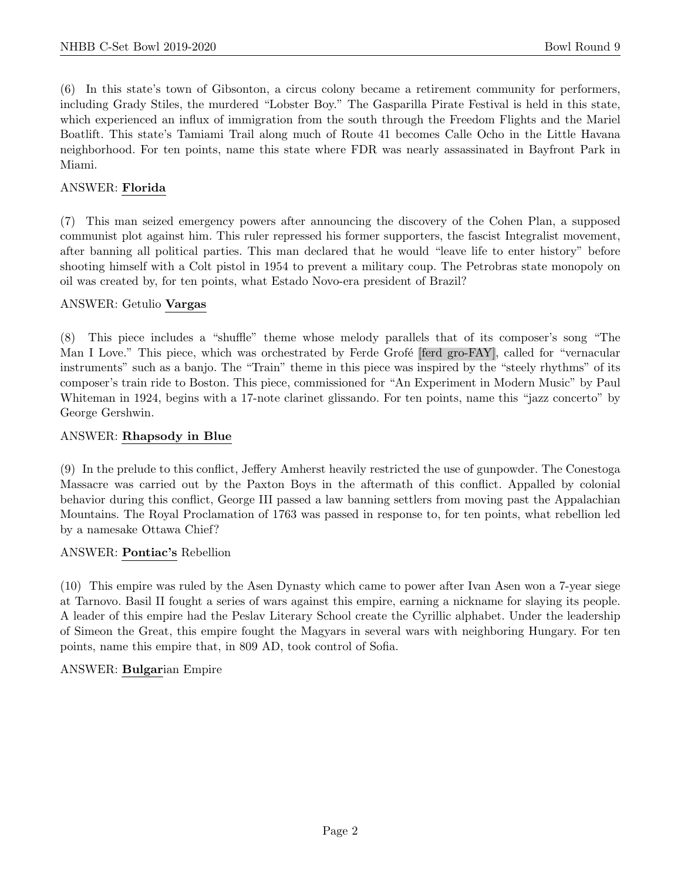(6) In this state's town of Gibsonton, a circus colony became a retirement community for performers, including Grady Stiles, the murdered "Lobster Boy." The Gasparilla Pirate Festival is held in this state, which experienced an influx of immigration from the south through the Freedom Flights and the Mariel Boatlift. This state's Tamiami Trail along much of Route 41 becomes Calle Ocho in the Little Havana neighborhood. For ten points, name this state where FDR was nearly assassinated in Bayfront Park in Miami.

#### ANSWER: Florida

(7) This man seized emergency powers after announcing the discovery of the Cohen Plan, a supposed communist plot against him. This ruler repressed his former supporters, the fascist Integralist movement, after banning all political parties. This man declared that he would "leave life to enter history" before shooting himself with a Colt pistol in 1954 to prevent a military coup. The Petrobras state monopoly on oil was created by, for ten points, what Estado Novo-era president of Brazil?

#### ANSWER: Getulio Vargas

(8) This piece includes a "shuffle" theme whose melody parallels that of its composer's song "The Man I Love." This piece, which was orchestrated by Ferde Grofé [ferd gro-FAY], called for "vernacular instruments" such as a banjo. The "Train" theme in this piece was inspired by the "steely rhythms" of its composer's train ride to Boston. This piece, commissioned for "An Experiment in Modern Music" by Paul Whiteman in 1924, begins with a 17-note clarinet glissando. For ten points, name this "jazz concerto" by George Gershwin.

#### ANSWER: Rhapsody in Blue

(9) In the prelude to this conflict, Jeffery Amherst heavily restricted the use of gunpowder. The Conestoga Massacre was carried out by the Paxton Boys in the aftermath of this conflict. Appalled by colonial behavior during this conflict, George III passed a law banning settlers from moving past the Appalachian Mountains. The Royal Proclamation of 1763 was passed in response to, for ten points, what rebellion led by a namesake Ottawa Chief?

#### ANSWER: Pontiac's Rebellion

(10) This empire was ruled by the Asen Dynasty which came to power after Ivan Asen won a 7-year siege at Tarnovo. Basil II fought a series of wars against this empire, earning a nickname for slaying its people. A leader of this empire had the Peslav Literary School create the Cyrillic alphabet. Under the leadership of Simeon the Great, this empire fought the Magyars in several wars with neighboring Hungary. For ten points, name this empire that, in 809 AD, took control of Sofia.

#### ANSWER: Bulgarian Empire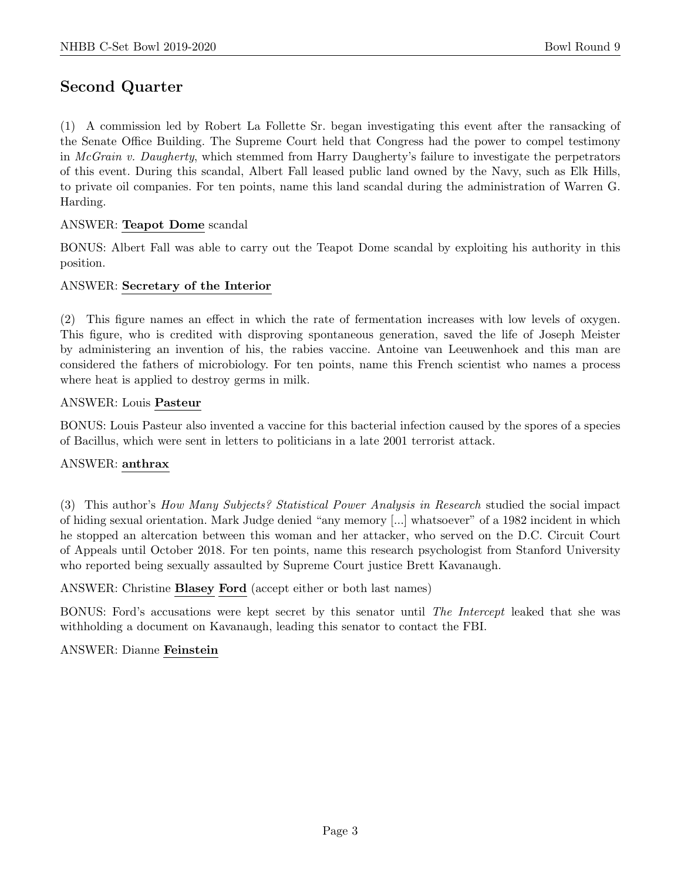# Second Quarter

(1) A commission led by Robert La Follette Sr. began investigating this event after the ransacking of the Senate Office Building. The Supreme Court held that Congress had the power to compel testimony in McGrain v. Daugherty, which stemmed from Harry Daugherty's failure to investigate the perpetrators of this event. During this scandal, Albert Fall leased public land owned by the Navy, such as Elk Hills, to private oil companies. For ten points, name this land scandal during the administration of Warren G. Harding.

#### ANSWER: Teapot Dome scandal

BONUS: Albert Fall was able to carry out the Teapot Dome scandal by exploiting his authority in this position.

#### ANSWER: Secretary of the Interior

(2) This figure names an effect in which the rate of fermentation increases with low levels of oxygen. This figure, who is credited with disproving spontaneous generation, saved the life of Joseph Meister by administering an invention of his, the rabies vaccine. Antoine van Leeuwenhoek and this man are considered the fathers of microbiology. For ten points, name this French scientist who names a process where heat is applied to destroy germs in milk.

#### ANSWER: Louis Pasteur

BONUS: Louis Pasteur also invented a vaccine for this bacterial infection caused by the spores of a species of Bacillus, which were sent in letters to politicians in a late 2001 terrorist attack.

#### ANSWER: anthrax

(3) This author's How Many Subjects? Statistical Power Analysis in Research studied the social impact of hiding sexual orientation. Mark Judge denied "any memory [...] whatsoever" of a 1982 incident in which he stopped an altercation between this woman and her attacker, who served on the D.C. Circuit Court of Appeals until October 2018. For ten points, name this research psychologist from Stanford University who reported being sexually assaulted by Supreme Court justice Brett Kavanaugh.

ANSWER: Christine Blasey Ford (accept either or both last names)

BONUS: Ford's accusations were kept secret by this senator until The Intercept leaked that she was withholding a document on Kavanaugh, leading this senator to contact the FBI.

#### ANSWER: Dianne Feinstein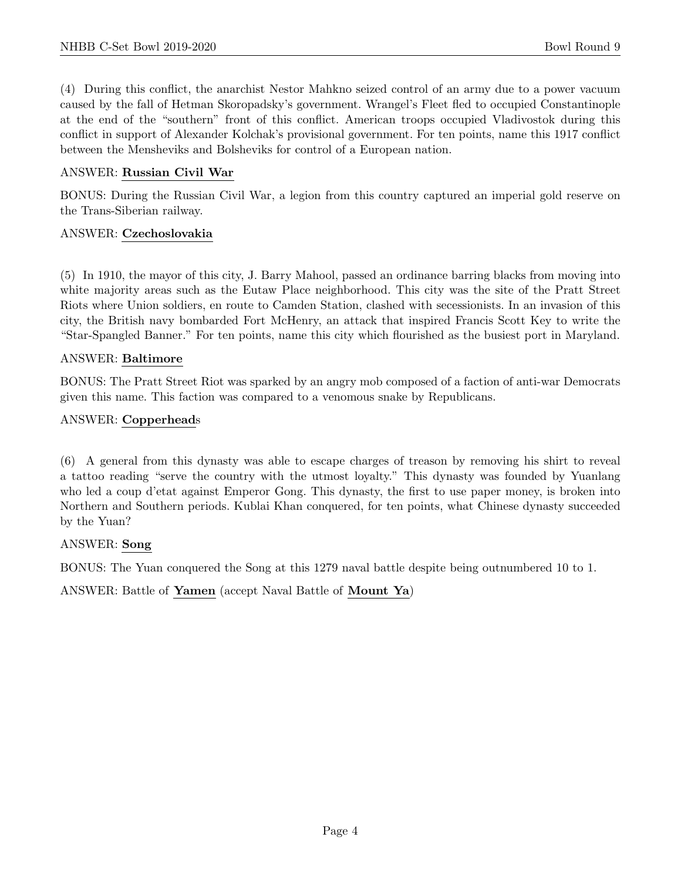(4) During this conflict, the anarchist Nestor Mahkno seized control of an army due to a power vacuum caused by the fall of Hetman Skoropadsky's government. Wrangel's Fleet fled to occupied Constantinople at the end of the "southern" front of this conflict. American troops occupied Vladivostok during this conflict in support of Alexander Kolchak's provisional government. For ten points, name this 1917 conflict between the Mensheviks and Bolsheviks for control of a European nation.

#### ANSWER: Russian Civil War

BONUS: During the Russian Civil War, a legion from this country captured an imperial gold reserve on the Trans-Siberian railway.

#### ANSWER: Czechoslovakia

(5) In 1910, the mayor of this city, J. Barry Mahool, passed an ordinance barring blacks from moving into white majority areas such as the Eutaw Place neighborhood. This city was the site of the Pratt Street Riots where Union soldiers, en route to Camden Station, clashed with secessionists. In an invasion of this city, the British navy bombarded Fort McHenry, an attack that inspired Francis Scott Key to write the "Star-Spangled Banner." For ten points, name this city which flourished as the busiest port in Maryland.

#### ANSWER: Baltimore

BONUS: The Pratt Street Riot was sparked by an angry mob composed of a faction of anti-war Democrats given this name. This faction was compared to a venomous snake by Republicans.

#### ANSWER: Copperheads

(6) A general from this dynasty was able to escape charges of treason by removing his shirt to reveal a tattoo reading "serve the country with the utmost loyalty." This dynasty was founded by Yuanlang who led a coup d'etat against Emperor Gong. This dynasty, the first to use paper money, is broken into Northern and Southern periods. Kublai Khan conquered, for ten points, what Chinese dynasty succeeded by the Yuan?

#### ANSWER: Song

BONUS: The Yuan conquered the Song at this 1279 naval battle despite being outnumbered 10 to 1.

ANSWER: Battle of Yamen (accept Naval Battle of Mount Ya)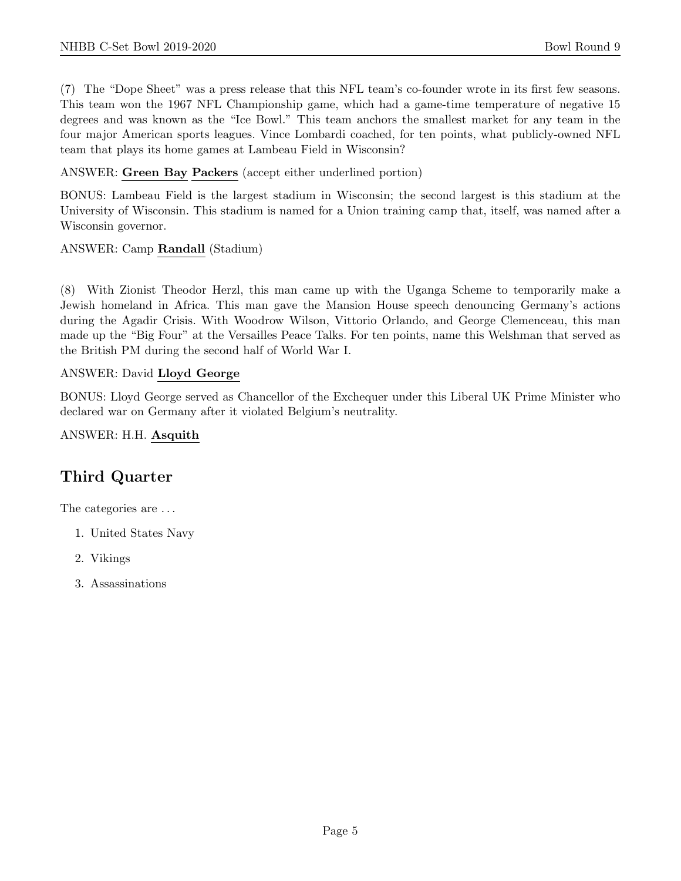(7) The "Dope Sheet" was a press release that this NFL team's co-founder wrote in its first few seasons. This team won the 1967 NFL Championship game, which had a game-time temperature of negative 15 degrees and was known as the "Ice Bowl." This team anchors the smallest market for any team in the four major American sports leagues. Vince Lombardi coached, for ten points, what publicly-owned NFL team that plays its home games at Lambeau Field in Wisconsin?

ANSWER: Green Bay Packers (accept either underlined portion)

BONUS: Lambeau Field is the largest stadium in Wisconsin; the second largest is this stadium at the University of Wisconsin. This stadium is named for a Union training camp that, itself, was named after a Wisconsin governor.

ANSWER: Camp Randall (Stadium)

(8) With Zionist Theodor Herzl, this man came up with the Uganga Scheme to temporarily make a Jewish homeland in Africa. This man gave the Mansion House speech denouncing Germany's actions during the Agadir Crisis. With Woodrow Wilson, Vittorio Orlando, and George Clemenceau, this man made up the "Big Four" at the Versailles Peace Talks. For ten points, name this Welshman that served as the British PM during the second half of World War I.

#### ANSWER: David Lloyd George

BONUS: Lloyd George served as Chancellor of the Exchequer under this Liberal UK Prime Minister who declared war on Germany after it violated Belgium's neutrality.

ANSWER: H.H. Asquith

# Third Quarter

The categories are . . .

- 1. United States Navy
- 2. Vikings
- 3. Assassinations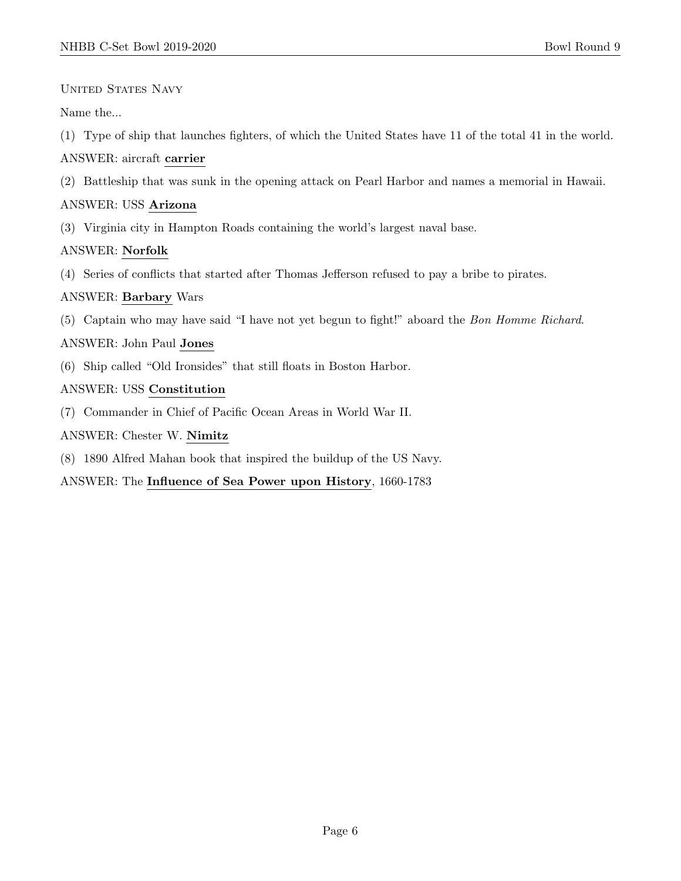UNITED STATES NAVY

Name the...

(1) Type of ship that launches fighters, of which the United States have 11 of the total 41 in the world.

# ANSWER: aircraft carrier

(2) Battleship that was sunk in the opening attack on Pearl Harbor and names a memorial in Hawaii.

# ANSWER: USS Arizona

(3) Virginia city in Hampton Roads containing the world's largest naval base.

# ANSWER: Norfolk

(4) Series of conflicts that started after Thomas Jefferson refused to pay a bribe to pirates.

# ANSWER: Barbary Wars

(5) Captain who may have said "I have not yet begun to fight!" aboard the Bon Homme Richard.

# ANSWER: John Paul Jones

(6) Ship called "Old Ironsides" that still floats in Boston Harbor.

# ANSWER: USS Constitution

(7) Commander in Chief of Pacific Ocean Areas in World War II.

#### ANSWER: Chester W. Nimitz

(8) 1890 Alfred Mahan book that inspired the buildup of the US Navy.

# ANSWER: The Influence of Sea Power upon History, 1660-1783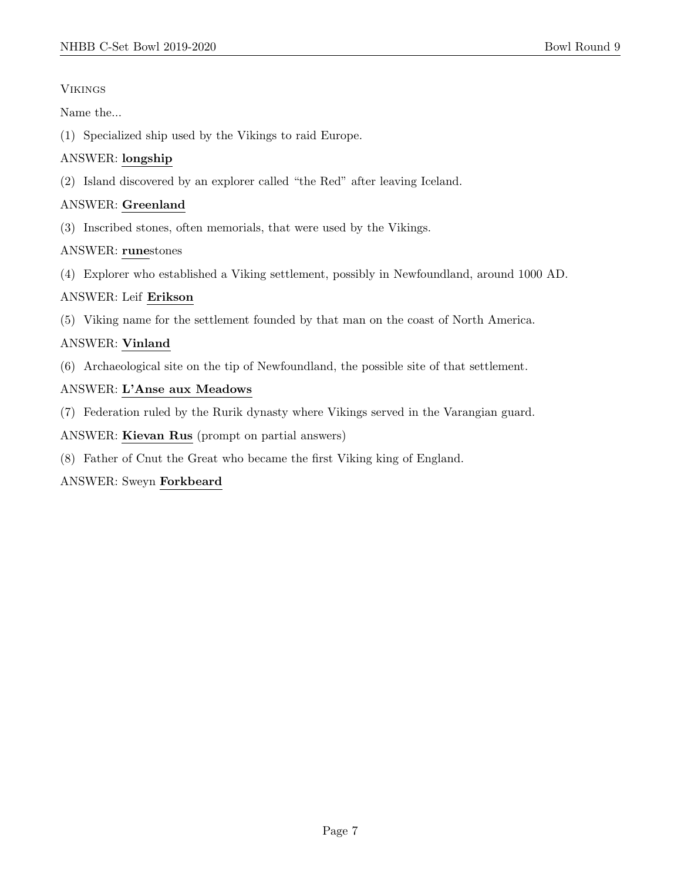# Vikings

Name the...

(1) Specialized ship used by the Vikings to raid Europe.

# ANSWER: longship

(2) Island discovered by an explorer called "the Red" after leaving Iceland.

# ANSWER: Greenland

(3) Inscribed stones, often memorials, that were used by the Vikings.

# ANSWER: runestones

(4) Explorer who established a Viking settlement, possibly in Newfoundland, around 1000 AD.

# ANSWER: Leif Erikson

(5) Viking name for the settlement founded by that man on the coast of North America.

# ANSWER: Vinland

(6) Archaeological site on the tip of Newfoundland, the possible site of that settlement.

# ANSWER: L'Anse aux Meadows

(7) Federation ruled by the Rurik dynasty where Vikings served in the Varangian guard.

ANSWER: Kievan Rus (prompt on partial answers)

(8) Father of Cnut the Great who became the first Viking king of England.

# ANSWER: Sweyn Forkbeard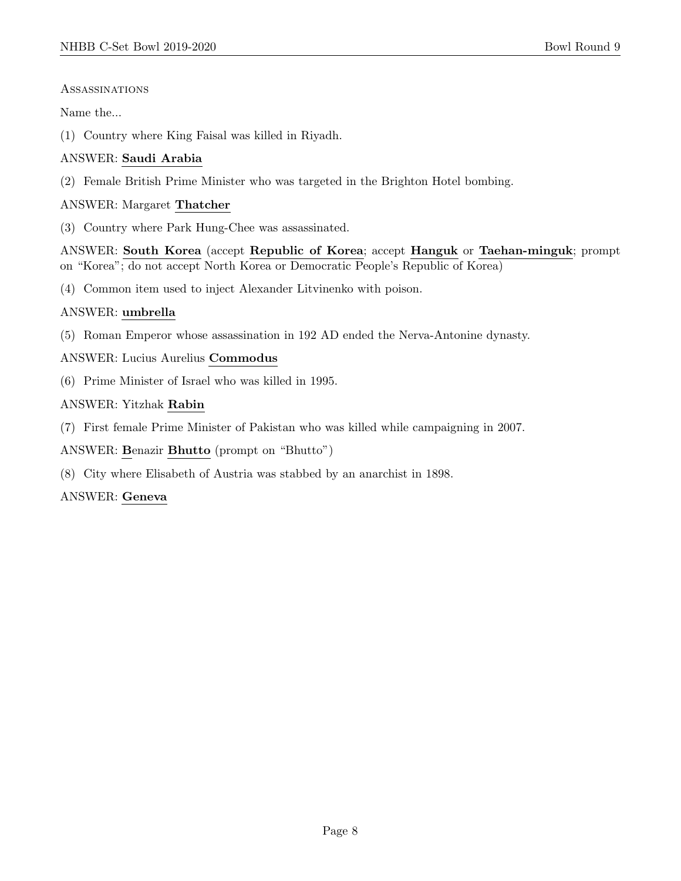#### Assassinations

Name the...

(1) Country where King Faisal was killed in Riyadh.

# ANSWER: Saudi Arabia

(2) Female British Prime Minister who was targeted in the Brighton Hotel bombing.

# ANSWER: Margaret Thatcher

(3) Country where Park Hung-Chee was assassinated.

ANSWER: South Korea (accept Republic of Korea; accept Hanguk or Taehan-minguk; prompt on "Korea"; do not accept North Korea or Democratic People's Republic of Korea)

(4) Common item used to inject Alexander Litvinenko with poison.

# ANSWER: umbrella

(5) Roman Emperor whose assassination in 192 AD ended the Nerva-Antonine dynasty.

# ANSWER: Lucius Aurelius Commodus

(6) Prime Minister of Israel who was killed in 1995.

# ANSWER: Yitzhak Rabin

(7) First female Prime Minister of Pakistan who was killed while campaigning in 2007.

ANSWER: Benazir Bhutto (prompt on "Bhutto")

(8) City where Elisabeth of Austria was stabbed by an anarchist in 1898.

# ANSWER: Geneva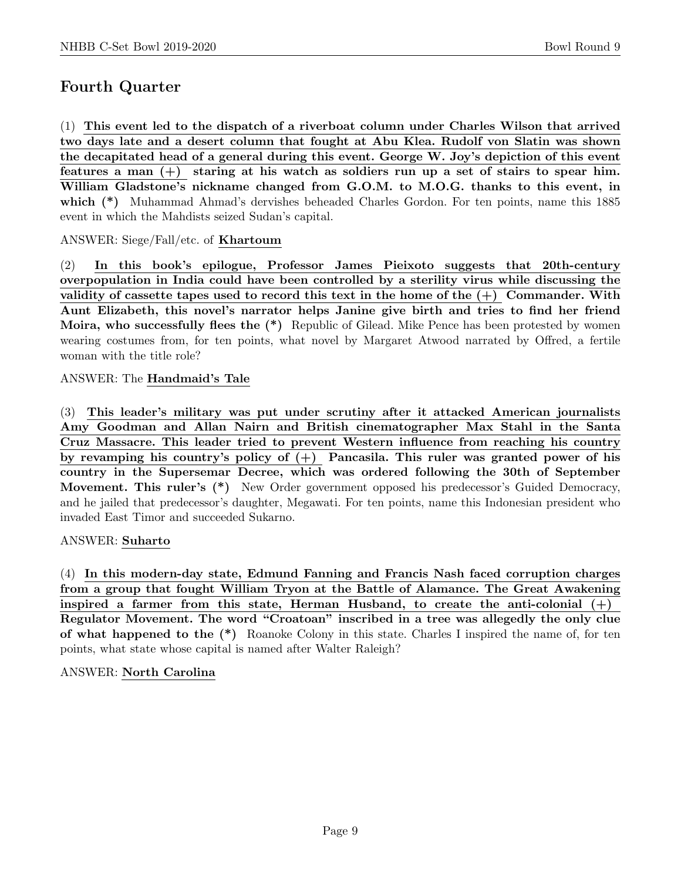# Fourth Quarter

(1) This event led to the dispatch of a riverboat column under Charles Wilson that arrived two days late and a desert column that fought at Abu Klea. Rudolf von Slatin was shown the decapitated head of a general during this event. George W. Joy's depiction of this event features a man  $(+)$  staring at his watch as soldiers run up a set of stairs to spear him. William Gladstone's nickname changed from G.O.M. to M.O.G. thanks to this event, in which (\*) Muhammad Ahmad's dervishes beheaded Charles Gordon. For ten points, name this 1885 event in which the Mahdists seized Sudan's capital.

ANSWER: Siege/Fall/etc. of Khartoum

(2) In this book's epilogue, Professor James Pieixoto suggests that 20th-century overpopulation in India could have been controlled by a sterility virus while discussing the validity of cassette tapes used to record this text in the home of the  $(+)$  Commander. With Aunt Elizabeth, this novel's narrator helps Janine give birth and tries to find her friend Moira, who successfully flees the (\*) Republic of Gilead. Mike Pence has been protested by women wearing costumes from, for ten points, what novel by Margaret Atwood narrated by Offred, a fertile woman with the title role?

# ANSWER: The Handmaid's Tale

(3) This leader's military was put under scrutiny after it attacked American journalists Amy Goodman and Allan Nairn and British cinematographer Max Stahl in the Santa Cruz Massacre. This leader tried to prevent Western influence from reaching his country by revamping his country's policy of  $(+)$  Pancasila. This ruler was granted power of his country in the Supersemar Decree, which was ordered following the 30th of September Movement. This ruler's (\*) New Order government opposed his predecessor's Guided Democracy, and he jailed that predecessor's daughter, Megawati. For ten points, name this Indonesian president who invaded East Timor and succeeded Sukarno.

#### ANSWER: Suharto

(4) In this modern-day state, Edmund Fanning and Francis Nash faced corruption charges from a group that fought William Tryon at the Battle of Alamance. The Great Awakening inspired a farmer from this state, Herman Husband, to create the anti-colonial  $(+)$ Regulator Movement. The word "Croatoan" inscribed in a tree was allegedly the only clue of what happened to the (\*) Roanoke Colony in this state. Charles I inspired the name of, for ten points, what state whose capital is named after Walter Raleigh?

#### ANSWER: North Carolina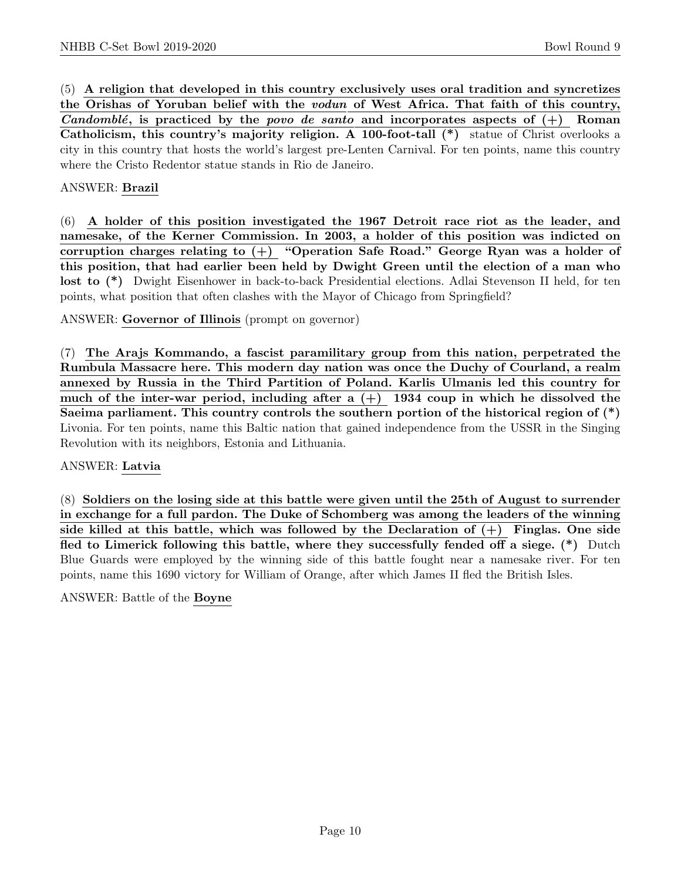(5) A religion that developed in this country exclusively uses oral tradition and syncretizes the Orishas of Yoruban belief with the vodun of West Africa. That faith of this country, Candomblé, is practiced by the povo de santo and incorporates aspects of  $(+)$  Roman Catholicism, this country's majority religion. A 100-foot-tall (\*) statue of Christ overlooks a city in this country that hosts the world's largest pre-Lenten Carnival. For ten points, name this country where the Cristo Redentor statue stands in Rio de Janeiro.

#### ANSWER: Brazil

(6) A holder of this position investigated the 1967 Detroit race riot as the leader, and namesake, of the Kerner Commission. In 2003, a holder of this position was indicted on corruption charges relating to  $(+)$  "Operation Safe Road." George Ryan was a holder of this position, that had earlier been held by Dwight Green until the election of a man who lost to (\*) Dwight Eisenhower in back-to-back Presidential elections. Adlai Stevenson II held, for ten points, what position that often clashes with the Mayor of Chicago from Springfield?

ANSWER: Governor of Illinois (prompt on governor)

(7) The Arajs Kommando, a fascist paramilitary group from this nation, perpetrated the Rumbula Massacre here. This modern day nation was once the Duchy of Courland, a realm annexed by Russia in the Third Partition of Poland. Karlis Ulmanis led this country for much of the inter-war period, including after a  $(+)$  1934 coup in which he dissolved the Saeima parliament. This country controls the southern portion of the historical region of (\*) Livonia. For ten points, name this Baltic nation that gained independence from the USSR in the Singing Revolution with its neighbors, Estonia and Lithuania.

#### ANSWER: Latvia

(8) Soldiers on the losing side at this battle were given until the 25th of August to surrender in exchange for a full pardon. The Duke of Schomberg was among the leaders of the winning side killed at this battle, which was followed by the Declaration of  $(+)$  Finglas. One side fled to Limerick following this battle, where they successfully fended off a siege. (\*) Dutch Blue Guards were employed by the winning side of this battle fought near a namesake river. For ten points, name this 1690 victory for William of Orange, after which James II fled the British Isles.

#### ANSWER: Battle of the Boyne